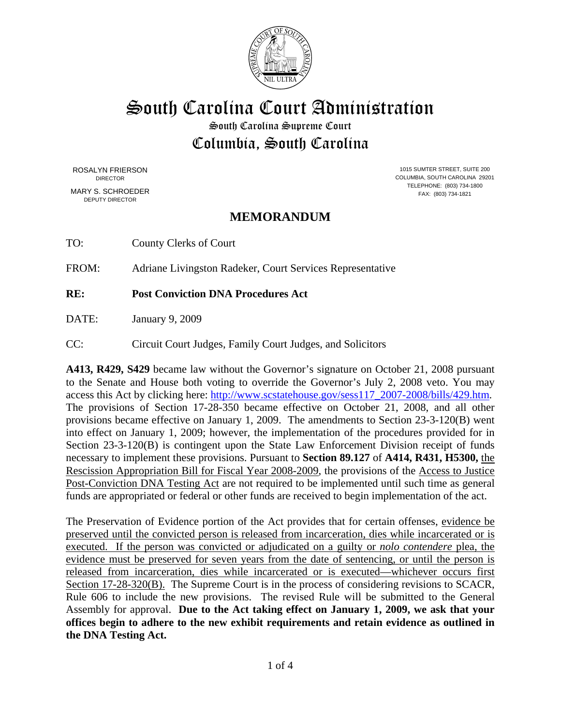

South Carolina Court Administration

South Carolina Supreme Court Columbia, South Carolina

ROSALYN FRIERSON DIRECTOR

MARY S. SCHROEDER DEPUTY DIRECTOR

1015 SUMTER STREET, SUITE 200 COLUMBIA, SOUTH CAROLINA 29201 TELEPHONE: (803) 734-1800 FAX: (803) 734-1821

# **MEMORANDUM**

TO: County Clerks of Court

FROM: Adriane Livingston Radeker, Court Services Representative

**RE: Post Conviction DNA Procedures Act** 

DATE: January 9, 2009

CC: Circuit Court Judges, Family Court Judges, and Solicitors

**A413, R429, S429** became law without the Governor's signature on October 21, 2008 pursuant to the Senate and House both voting to override the Governor's July 2, 2008 veto. You may access this Act by clicking here: http://www.scstatehouse.gov/sess117\_2007-2008/bills/429.htm. The provisions of Section 17-28-350 became effective on October 21, 2008, and all other provisions became effective on January 1, 2009. The amendments to Section 23-3-120(B) went into effect on January 1, 2009; however, the implementation of the procedures provided for in Section 23-3-120(B) is contingent upon the State Law Enforcement Division receipt of funds necessary to implement these provisions. Pursuant to **Section 89.127** of **A414, R431, H5300,** the Rescission Appropriation Bill for Fiscal Year 2008-2009, the provisions of the Access to Justice Post-Conviction DNA Testing Act are not required to be implemented until such time as general funds are appropriated or federal or other funds are received to begin implementation of the act.

The Preservation of Evidence portion of the Act provides that for certain offenses, evidence be preserved until the convicted person is released from incarceration, dies while incarcerated or is executed. If the person was convicted or adjudicated on a guilty or *nolo contendere* plea, the evidence must be preserved for seven years from the date of sentencing, or until the person is released from incarceration, dies while incarcerated or is executed—whichever occurs first Section 17-28-320(B). The Supreme Court is in the process of considering revisions to SCACR, Rule 606 to include the new provisions. The revised Rule will be submitted to the General Assembly for approval. **Due to the Act taking effect on January 1, 2009, we ask that your offices begin to adhere to the new exhibit requirements and retain evidence as outlined in the DNA Testing Act.**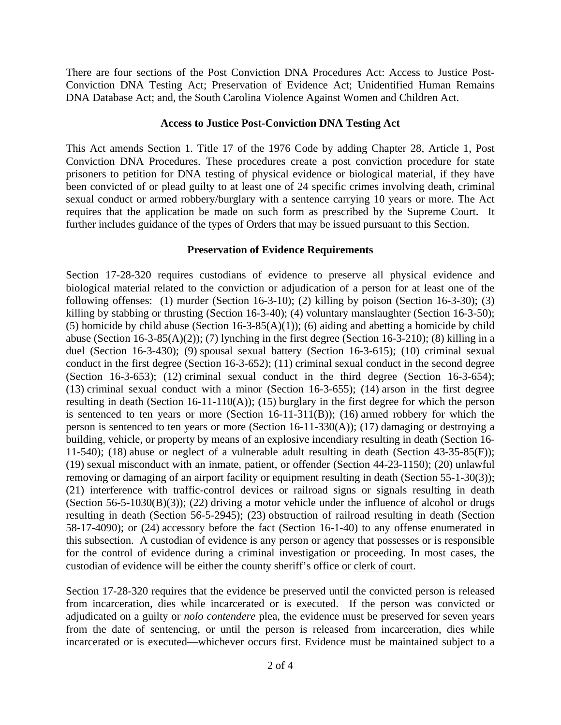There are four sections of the Post Conviction DNA Procedures Act: Access to Justice Post-Conviction DNA Testing Act; Preservation of Evidence Act; Unidentified Human Remains DNA Database Act; and, the South Carolina Violence Against Women and Children Act.

### **Access to Justice Post-Conviction DNA Testing Act**

This Act amends Section 1. Title 17 of the 1976 Code by adding Chapter 28, Article 1, Post Conviction DNA Procedures. These procedures create a post conviction procedure for state prisoners to petition for DNA testing of physical evidence or biological material, if they have been convicted of or plead guilty to at least one of 24 specific crimes involving death, criminal sexual conduct or armed robbery/burglary with a sentence carrying 10 years or more. The Act requires that the application be made on such form as prescribed by the Supreme Court. It further includes guidance of the types of Orders that may be issued pursuant to this Section.

### **Preservation of Evidence Requirements**

Section 17-28-320 requires custodians of evidence to preserve all physical evidence and biological material related to the conviction or adjudication of a person for at least one of the following offenses: (1) murder (Section 16-3-10); (2) killing by poison (Section 16-3-30); (3) killing by stabbing or thrusting (Section 16-3-40); (4) voluntary manslaughter (Section 16-3-50); (5) homicide by child abuse (Section 16-3-85(A)(1)); (6) aiding and abetting a homicide by child abuse (Section 16-3-85(A)(2)); (7) lynching in the first degree (Section 16-3-210); (8) killing in a duel (Section 16-3-430); (9) spousal sexual battery (Section 16-3-615); (10) criminal sexual conduct in the first degree (Section 16-3-652); (11) criminal sexual conduct in the second degree (Section 16-3-653); (12) criminal sexual conduct in the third degree (Section 16-3-654); (13) criminal sexual conduct with a minor (Section 16-3-655); (14) arson in the first degree resulting in death (Section 16-11-110(A)); (15) burglary in the first degree for which the person is sentenced to ten years or more (Section 16-11-311(B)); (16) armed robbery for which the person is sentenced to ten years or more (Section 16-11-330(A)); (17) damaging or destroying a building, vehicle, or property by means of an explosive incendiary resulting in death (Section 16- 11-540); (18) abuse or neglect of a vulnerable adult resulting in death (Section 43-35-85(F)); (19) sexual misconduct with an inmate, patient, or offender (Section 44-23-1150); (20) unlawful removing or damaging of an airport facility or equipment resulting in death (Section 55-1-30(3)); (21) interference with traffic-control devices or railroad signs or signals resulting in death (Section 56-5-1030 $(B)(3)$ ); (22) driving a motor vehicle under the influence of alcohol or drugs resulting in death (Section 56-5-2945); (23) obstruction of railroad resulting in death (Section 58-17-4090); or (24) accessory before the fact (Section 16-1-40) to any offense enumerated in this subsection. A custodian of evidence is any person or agency that possesses or is responsible for the control of evidence during a criminal investigation or proceeding. In most cases, the custodian of evidence will be either the county sheriff's office or clerk of court.

Section 17-28-320 requires that the evidence be preserved until the convicted person is released from incarceration, dies while incarcerated or is executed. If the person was convicted or adjudicated on a guilty or *nolo contendere* plea, the evidence must be preserved for seven years from the date of sentencing, or until the person is released from incarceration, dies while incarcerated or is executed—whichever occurs first. Evidence must be maintained subject to a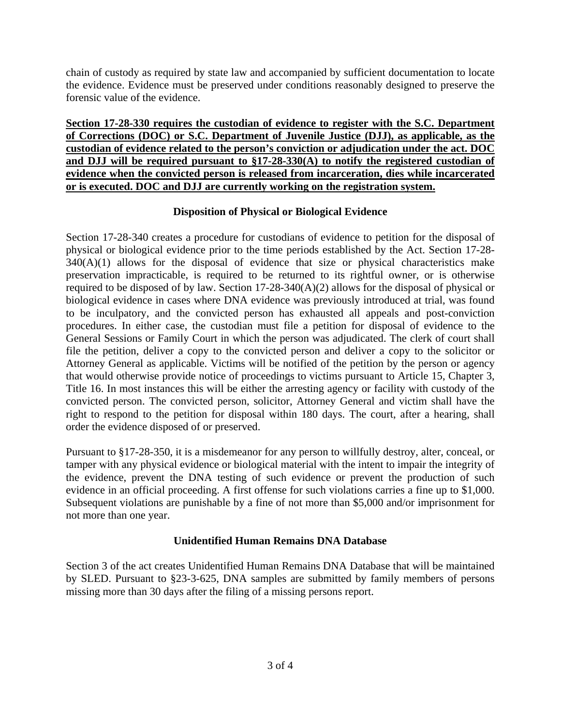chain of custody as required by state law and accompanied by sufficient documentation to locate the evidence. Evidence must be preserved under conditions reasonably designed to preserve the forensic value of the evidence.

**Section 17-28-330 requires the custodian of evidence to register with the S.C. Department of Corrections (DOC) or S.C. Department of Juvenile Justice (DJJ), as applicable, as the custodian of evidence related to the person's conviction or adjudication under the act. DOC and DJJ will be required pursuant to §17-28-330(A) to notify the registered custodian of evidence when the convicted person is released from incarceration, dies while incarcerated or is executed. DOC and DJJ are currently working on the registration system.** 

### **Disposition of Physical or Biological Evidence**

Section 17-28-340 creates a procedure for custodians of evidence to petition for the disposal of physical or biological evidence prior to the time periods established by the Act. Section 17-28-  $340(A)(1)$  allows for the disposal of evidence that size or physical characteristics make preservation impracticable, is required to be returned to its rightful owner, or is otherwise required to be disposed of by law. Section 17-28-340(A)(2) allows for the disposal of physical or biological evidence in cases where DNA evidence was previously introduced at trial, was found to be inculpatory, and the convicted person has exhausted all appeals and post-conviction procedures. In either case, the custodian must file a petition for disposal of evidence to the General Sessions or Family Court in which the person was adjudicated. The clerk of court shall file the petition, deliver a copy to the convicted person and deliver a copy to the solicitor or Attorney General as applicable. Victims will be notified of the petition by the person or agency that would otherwise provide notice of proceedings to victims pursuant to Article 15, Chapter 3, Title 16. In most instances this will be either the arresting agency or facility with custody of the convicted person. The convicted person, solicitor, Attorney General and victim shall have the right to respond to the petition for disposal within 180 days. The court, after a hearing, shall order the evidence disposed of or preserved.

Pursuant to §17-28-350, it is a misdemeanor for any person to willfully destroy, alter, conceal, or tamper with any physical evidence or biological material with the intent to impair the integrity of the evidence, prevent the DNA testing of such evidence or prevent the production of such evidence in an official proceeding. A first offense for such violations carries a fine up to \$1,000. Subsequent violations are punishable by a fine of not more than \$5,000 and/or imprisonment for not more than one year.

## **Unidentified Human Remains DNA Database**

Section 3 of the act creates Unidentified Human Remains DNA Database that will be maintained by SLED. Pursuant to §23-3-625, DNA samples are submitted by family members of persons missing more than 30 days after the filing of a missing persons report.